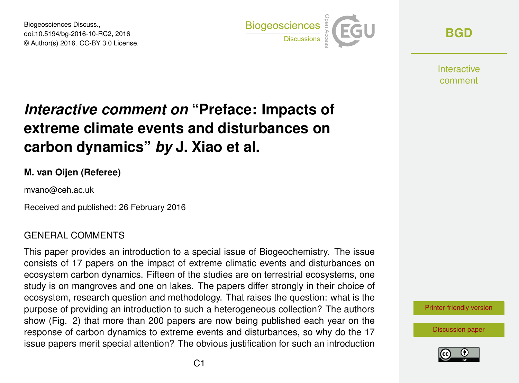Biogeosciences Discuss., doi:10.5194/bg-2016-10-RC2, 2016 © Author(s) 2016. CC-BY 3.0 License.



**[BGD](http://www.biogeosciences-discuss.net/)**

**Interactive** comment

# *Interactive comment on* **"Preface: Impacts of extreme climate events and disturbances on carbon dynamics"** *by* **J. Xiao et al.**

#### **M. van Oijen (Referee)**

mvano@ceh.ac.uk

Received and published: 26 February 2016

#### GENERAL COMMENTS

This paper provides an introduction to a special issue of Biogeochemistry. The issue consists of 17 papers on the impact of extreme climatic events and disturbances on ecosystem carbon dynamics. Fifteen of the studies are on terrestrial ecosystems, one study is on mangroves and one on lakes. The papers differ strongly in their choice of ecosystem, research question and methodology. That raises the question: what is the purpose of providing an introduction to such a heterogeneous collection? The authors show (Fig. 2) that more than 200 papers are now being published each year on the response of carbon dynamics to extreme events and disturbances, so why do the 17 issue papers merit special attention? The obvious justification for such an introduction

[Printer-friendly version](http://www.biogeosciences-discuss.net/bg-2016-10/bg-2016-10-RC2-print.pdf)

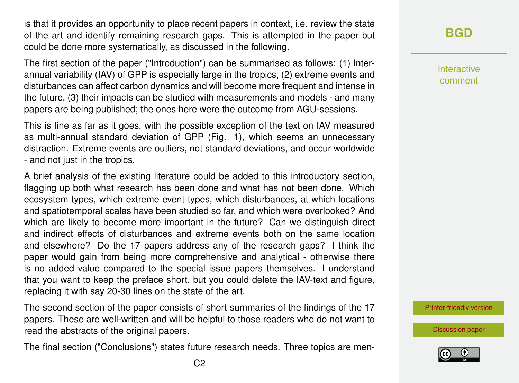is that it provides an opportunity to place recent papers in context, i.e. review the state of the art and identify remaining research gaps. This is attempted in the paper but could be done more systematically, as discussed in the following.

The first section of the paper ("Introduction") can be summarised as follows: (1) Interannual variability (IAV) of GPP is especially large in the tropics, (2) extreme events and disturbances can affect carbon dynamics and will become more frequent and intense in the future, (3) their impacts can be studied with measurements and models - and many papers are being published; the ones here were the outcome from AGU-sessions.

This is fine as far as it goes, with the possible exception of the text on IAV measured as multi-annual standard deviation of GPP (Fig. 1), which seems an unnecessary distraction. Extreme events are outliers, not standard deviations, and occur worldwide - and not just in the tropics.

A brief analysis of the existing literature could be added to this introductory section, flagging up both what research has been done and what has not been done. Which ecosystem types, which extreme event types, which disturbances, at which locations and spatiotemporal scales have been studied so far, and which were overlooked? And which are likely to become more important in the future? Can we distinguish direct and indirect effects of disturbances and extreme events both on the same location and elsewhere? Do the 17 papers address any of the research gaps? I think the paper would gain from being more comprehensive and analytical - otherwise there is no added value compared to the special issue papers themselves. I understand that you want to keep the preface short, but you could delete the IAV-text and figure, replacing it with say 20-30 lines on the state of the art.

The second section of the paper consists of short summaries of the findings of the 17 papers. These are well-written and will be helpful to those readers who do not want to read the abstracts of the original papers.

The final section ("Conclusions") states future research needs. Three topics are men-

Interactive comment

[Printer-friendly version](http://www.biogeosciences-discuss.net/bg-2016-10/bg-2016-10-RC2-print.pdf)

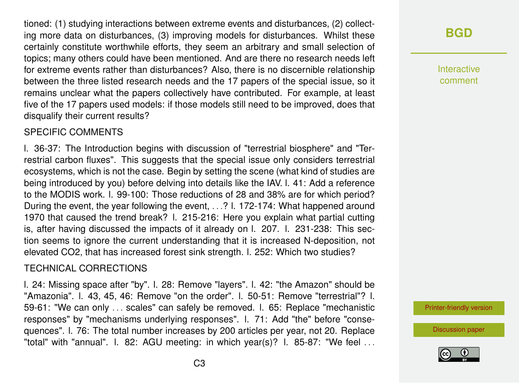tioned: (1) studying interactions between extreme events and disturbances, (2) collecting more data on disturbances, (3) improving models for disturbances. Whilst these certainly constitute worthwhile efforts, they seem an arbitrary and small selection of topics; many others could have been mentioned. And are there no research needs left for extreme events rather than disturbances? Also, there is no discernible relationship between the three listed research needs and the 17 papers of the special issue, so it remains unclear what the papers collectively have contributed. For example, at least five of the 17 papers used models: if those models still need to be improved, does that disqualify their current results?

#### SPECIFIC COMMENTS

l. 36-37: The Introduction begins with discussion of "terrestrial biosphere" and "Terrestrial carbon fluxes". This suggests that the special issue only considers terrestrial ecosystems, which is not the case. Begin by setting the scene (what kind of studies are being introduced by you) before delving into details like the IAV. l. 41: Add a reference to the MODIS work. l. 99-100: Those reductions of 28 and 38% are for which period? During the event, the year following the event, . . .? l. 172-174: What happened around 1970 that caused the trend break? l. 215-216: Here you explain what partial cutting is, after having discussed the impacts of it already on l. 207. l. 231-238: This section seems to ignore the current understanding that it is increased N-deposition, not elevated CO2, that has increased forest sink strength. l. 252: Which two studies?

#### TECHNICAL CORRECTIONS

l. 24: Missing space after "by". l. 28: Remove "layers". l. 42: "the Amazon" should be "Amazonia". l. 43, 45, 46: Remove "on the order". l. 50-51: Remove "terrestrial"? l. 59-61: "We can only . . . scales" can safely be removed. l. 65: Replace "mechanistic responses" by "mechanisms underlying responses". l. 71: Add "the" before "consequences". l. 76: The total number increases by 200 articles per year, not 20. Replace "total" with "annual". l. 82: AGU meeting: in which year(s)? l. 85-87: "We feel . . .

## **[BGD](http://www.biogeosciences-discuss.net/)**

Interactive comment

[Printer-friendly version](http://www.biogeosciences-discuss.net/bg-2016-10/bg-2016-10-RC2-print.pdf)